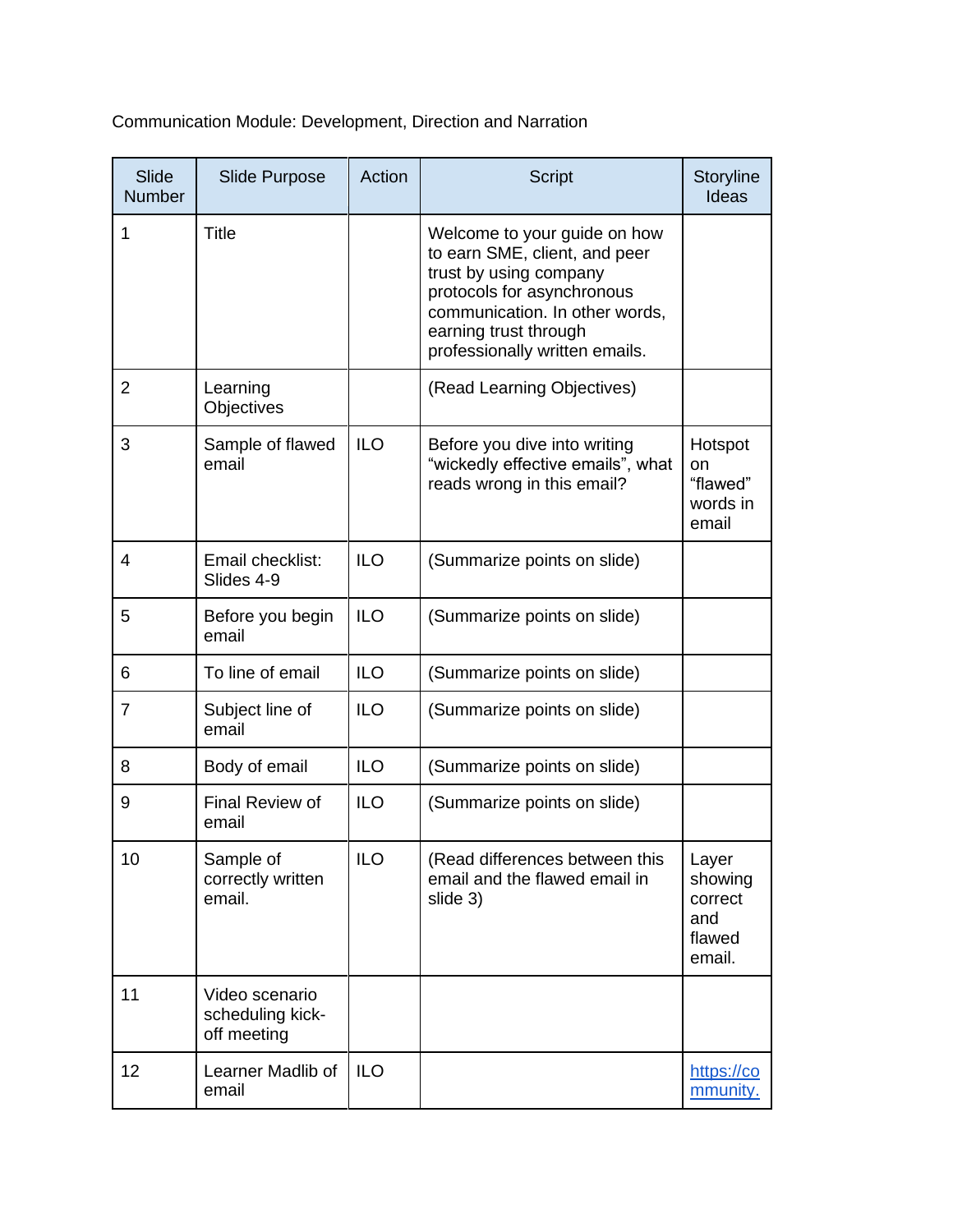Communication Module: Development, Direction and Narration

| Slide<br><b>Number</b> | <b>Slide Purpose</b>                              | Action     | <b>Script</b>                                                                                                                                                                                                      | Storyline<br>Ideas                                     |
|------------------------|---------------------------------------------------|------------|--------------------------------------------------------------------------------------------------------------------------------------------------------------------------------------------------------------------|--------------------------------------------------------|
| 1                      | <b>Title</b>                                      |            | Welcome to your guide on how<br>to earn SME, client, and peer<br>trust by using company<br>protocols for asynchronous<br>communication. In other words,<br>earning trust through<br>professionally written emails. |                                                        |
| $\overline{2}$         | Learning<br>Objectives                            |            | (Read Learning Objectives)                                                                                                                                                                                         |                                                        |
| 3                      | Sample of flawed<br>email                         | <b>ILO</b> | Before you dive into writing<br>"wickedly effective emails", what<br>reads wrong in this email?                                                                                                                    | Hotspot<br>on<br>"flawed"<br>words in<br>email         |
| 4                      | Email checklist:<br>Slides 4-9                    | <b>ILO</b> | (Summarize points on slide)                                                                                                                                                                                        |                                                        |
| 5                      | Before you begin<br>email                         | <b>ILO</b> | (Summarize points on slide)                                                                                                                                                                                        |                                                        |
| 6                      | To line of email                                  | <b>ILO</b> | (Summarize points on slide)                                                                                                                                                                                        |                                                        |
| 7                      | Subject line of<br>email                          | <b>ILO</b> | (Summarize points on slide)                                                                                                                                                                                        |                                                        |
| 8                      | Body of email                                     | <b>ILO</b> | (Summarize points on slide)                                                                                                                                                                                        |                                                        |
| 9                      | Final Review of<br>email                          | <b>ILO</b> | (Summarize points on slide)                                                                                                                                                                                        |                                                        |
| 10                     | Sample of<br>correctly written<br>email.          | <b>ILO</b> | (Read differences between this<br>email and the flawed email in<br>slide 3)                                                                                                                                        | Layer<br>showing<br>correct<br>and<br>flawed<br>email. |
| 11                     | Video scenario<br>scheduling kick-<br>off meeting |            |                                                                                                                                                                                                                    |                                                        |
| 12                     | Learner Madlib of<br>email                        | <b>ILO</b> |                                                                                                                                                                                                                    | https://co<br><u>mmunity.</u>                          |